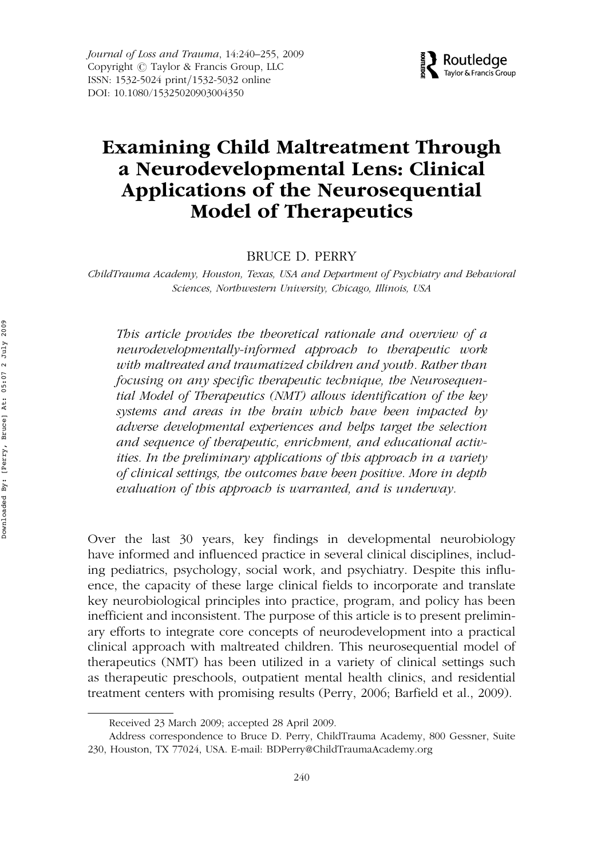Journal of Loss and Trauma, 14:240–255, 2009 Copyright  $\odot$  Taylor & Francis Group, LLC ISSN: 1532-5024 print/1532-5032 online DOI: 10.1080/15325020903004350



# Examining Child Maltreatment Through a Neurodevelopmental Lens: Clinical Applications of the Neurosequential Model of Therapeutics

BRUCE D. PERRY

ChildTrauma Academy, Houston, Texas, USA and Department of Psychiatry and Behavioral Sciences, Northwestern University, Chicago, Illinois, USA

This article provides the theoretical rationale and overview of a neurodevelopmentally-informed approach to therapeutic work with maltreated and traumatized children and youth. Rather than focusing on any specific therapeutic technique, the Neurosequential Model of Therapeutics (NMT) allows identification of the key systems and areas in the brain which have been impacted by adverse developmental experiences and helps target the selection and sequence of therapeutic, enrichment, and educational activities. In the preliminary applications of this approach in a variety of clinical settings, the outcomes have been positive. More in depth evaluation of this approach is warranted, and is underway.

Over the last 30 years, key findings in developmental neurobiology have informed and influenced practice in several clinical disciplines, including pediatrics, psychology, social work, and psychiatry. Despite this influence, the capacity of these large clinical fields to incorporate and translate key neurobiological principles into practice, program, and policy has been inefficient and inconsistent. The purpose of this article is to present preliminary efforts to integrate core concepts of neurodevelopment into a practical clinical approach with maltreated children. This neurosequential model of therapeutics (NMT) has been utilized in a variety of clinical settings such as therapeutic preschools, outpatient mental health clinics, and residential treatment centers with promising results (Perry, 2006; Barfield et al., 2009).

Received 23 March 2009; accepted 28 April 2009.

Address correspondence to Bruce D. Perry, ChildTrauma Academy, 800 Gessner, Suite 230, Houston, TX 77024, USA. E-mail: BDPerry@ChildTraumaAcademy.org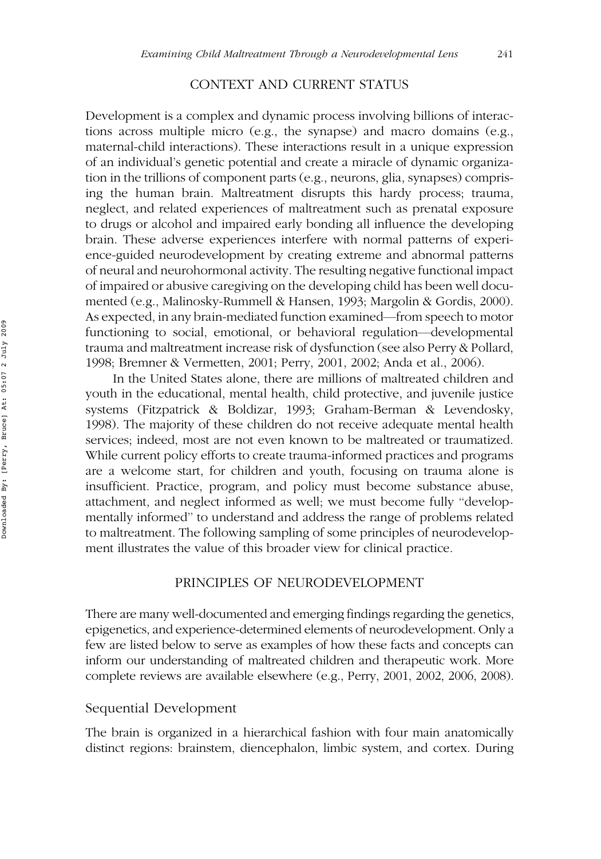# CONTEXT AND CURRENT STATUS

Development is a complex and dynamic process involving billions of interactions across multiple micro (e.g., the synapse) and macro domains (e.g., maternal-child interactions). These interactions result in a unique expression of an individual's genetic potential and create a miracle of dynamic organization in the trillions of component parts (e.g., neurons, glia, synapses) comprising the human brain. Maltreatment disrupts this hardy process; trauma, neglect, and related experiences of maltreatment such as prenatal exposure to drugs or alcohol and impaired early bonding all influence the developing brain. These adverse experiences interfere with normal patterns of experience-guided neurodevelopment by creating extreme and abnormal patterns of neural and neurohormonal activity. The resulting negative functional impact of impaired or abusive caregiving on the developing child has been well documented (e.g., Malinosky-Rummell & Hansen, 1993; Margolin & Gordis, 2000). As expected, in any brain-mediated function examined—from speech to motor functioning to social, emotional, or behavioral regulation—developmental trauma and maltreatment increase risk of dysfunction (see also Perry & Pollard, 1998; Bremner & Vermetten, 2001; Perry, 2001, 2002; Anda et al., 2006).

In the United States alone, there are millions of maltreated children and youth in the educational, mental health, child protective, and juvenile justice systems (Fitzpatrick & Boldizar, 1993; Graham-Berman & Levendosky, 1998). The majority of these children do not receive adequate mental health services; indeed, most are not even known to be maltreated or traumatized. While current policy efforts to create trauma-informed practices and programs are a welcome start, for children and youth, focusing on trauma alone is insufficient. Practice, program, and policy must become substance abuse, attachment, and neglect informed as well; we must become fully ''developmentally informed'' to understand and address the range of problems related to maltreatment. The following sampling of some principles of neurodevelopment illustrates the value of this broader view for clinical practice.

# PRINCIPLES OF NEURODEVELOPMENT

There are many well-documented and emerging findings regarding the genetics, epigenetics, and experience-determined elements of neurodevelopment. Only a few are listed below to serve as examples of how these facts and concepts can inform our understanding of maltreated children and therapeutic work. More complete reviews are available elsewhere (e.g., Perry, 2001, 2002, 2006, 2008).

## Sequential Development

The brain is organized in a hierarchical fashion with four main anatomically distinct regions: brainstem, diencephalon, limbic system, and cortex. During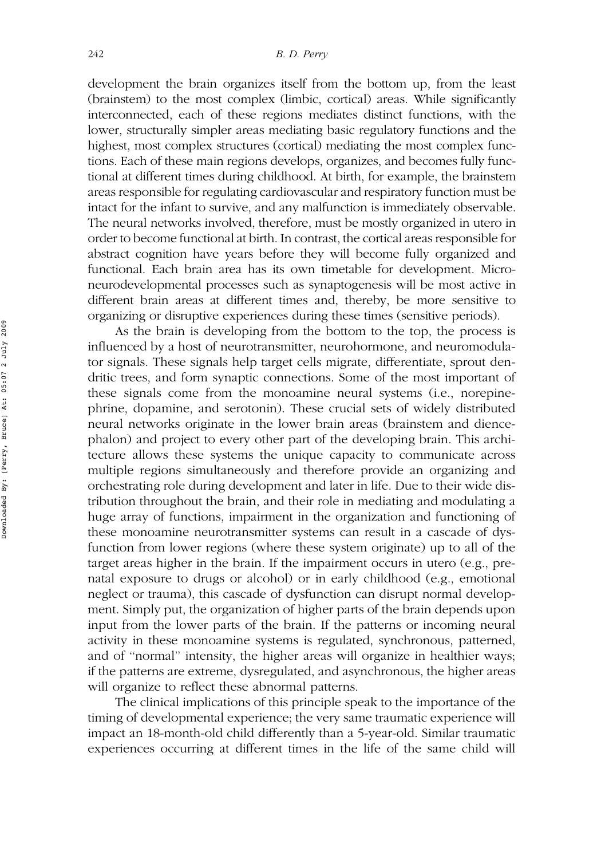development the brain organizes itself from the bottom up, from the least (brainstem) to the most complex (limbic, cortical) areas. While significantly interconnected, each of these regions mediates distinct functions, with the lower, structurally simpler areas mediating basic regulatory functions and the highest, most complex structures (cortical) mediating the most complex functions. Each of these main regions develops, organizes, and becomes fully functional at different times during childhood. At birth, for example, the brainstem areas responsible for regulating cardiovascular and respiratory function must be intact for the infant to survive, and any malfunction is immediately observable. The neural networks involved, therefore, must be mostly organized in utero in order to become functional at birth. In contrast, the cortical areas responsible for abstract cognition have years before they will become fully organized and functional. Each brain area has its own timetable for development. Microneurodevelopmental processes such as synaptogenesis will be most active in different brain areas at different times and, thereby, be more sensitive to organizing or disruptive experiences during these times (sensitive periods).

As the brain is developing from the bottom to the top, the process is influenced by a host of neurotransmitter, neurohormone, and neuromodulator signals. These signals help target cells migrate, differentiate, sprout dendritic trees, and form synaptic connections. Some of the most important of these signals come from the monoamine neural systems (i.e., norepinephrine, dopamine, and serotonin). These crucial sets of widely distributed neural networks originate in the lower brain areas (brainstem and diencephalon) and project to every other part of the developing brain. This architecture allows these systems the unique capacity to communicate across multiple regions simultaneously and therefore provide an organizing and orchestrating role during development and later in life. Due to their wide distribution throughout the brain, and their role in mediating and modulating a huge array of functions, impairment in the organization and functioning of these monoamine neurotransmitter systems can result in a cascade of dysfunction from lower regions (where these system originate) up to all of the target areas higher in the brain. If the impairment occurs in utero (e.g., prenatal exposure to drugs or alcohol) or in early childhood (e.g., emotional neglect or trauma), this cascade of dysfunction can disrupt normal development. Simply put, the organization of higher parts of the brain depends upon input from the lower parts of the brain. If the patterns or incoming neural activity in these monoamine systems is regulated, synchronous, patterned, and of ''normal'' intensity, the higher areas will organize in healthier ways; if the patterns are extreme, dysregulated, and asynchronous, the higher areas will organize to reflect these abnormal patterns.

The clinical implications of this principle speak to the importance of the timing of developmental experience; the very same traumatic experience will impact an 18-month-old child differently than a 5-year-old. Similar traumatic experiences occurring at different times in the life of the same child will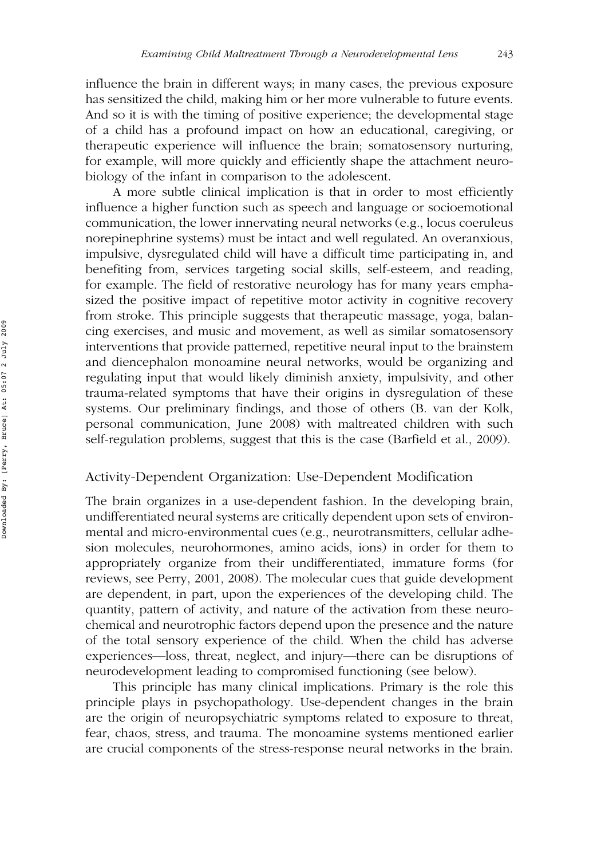influence the brain in different ways; in many cases, the previous exposure has sensitized the child, making him or her more vulnerable to future events. And so it is with the timing of positive experience; the developmental stage of a child has a profound impact on how an educational, caregiving, or therapeutic experience will influence the brain; somatosensory nurturing, for example, will more quickly and efficiently shape the attachment neurobiology of the infant in comparison to the adolescent.

A more subtle clinical implication is that in order to most efficiently influence a higher function such as speech and language or socioemotional communication, the lower innervating neural networks (e.g., locus coeruleus norepinephrine systems) must be intact and well regulated. An overanxious, impulsive, dysregulated child will have a difficult time participating in, and benefiting from, services targeting social skills, self-esteem, and reading, for example. The field of restorative neurology has for many years emphasized the positive impact of repetitive motor activity in cognitive recovery from stroke. This principle suggests that therapeutic massage, yoga, balancing exercises, and music and movement, as well as similar somatosensory interventions that provide patterned, repetitive neural input to the brainstem and diencephalon monoamine neural networks, would be organizing and regulating input that would likely diminish anxiety, impulsivity, and other trauma-related symptoms that have their origins in dysregulation of these systems. Our preliminary findings, and those of others (B. van der Kolk, personal communication, June 2008) with maltreated children with such self-regulation problems, suggest that this is the case (Barfield et al., 2009).

## Activity-Dependent Organization: Use-Dependent Modification

The brain organizes in a use-dependent fashion. In the developing brain, undifferentiated neural systems are critically dependent upon sets of environmental and micro-environmental cues (e.g., neurotransmitters, cellular adhesion molecules, neurohormones, amino acids, ions) in order for them to appropriately organize from their undifferentiated, immature forms (for reviews, see Perry, 2001, 2008). The molecular cues that guide development are dependent, in part, upon the experiences of the developing child. The quantity, pattern of activity, and nature of the activation from these neurochemical and neurotrophic factors depend upon the presence and the nature of the total sensory experience of the child. When the child has adverse experiences—loss, threat, neglect, and injury—there can be disruptions of neurodevelopment leading to compromised functioning (see below).

This principle has many clinical implications. Primary is the role this principle plays in psychopathology. Use-dependent changes in the brain are the origin of neuropsychiatric symptoms related to exposure to threat, fear, chaos, stress, and trauma. The monoamine systems mentioned earlier are crucial components of the stress-response neural networks in the brain.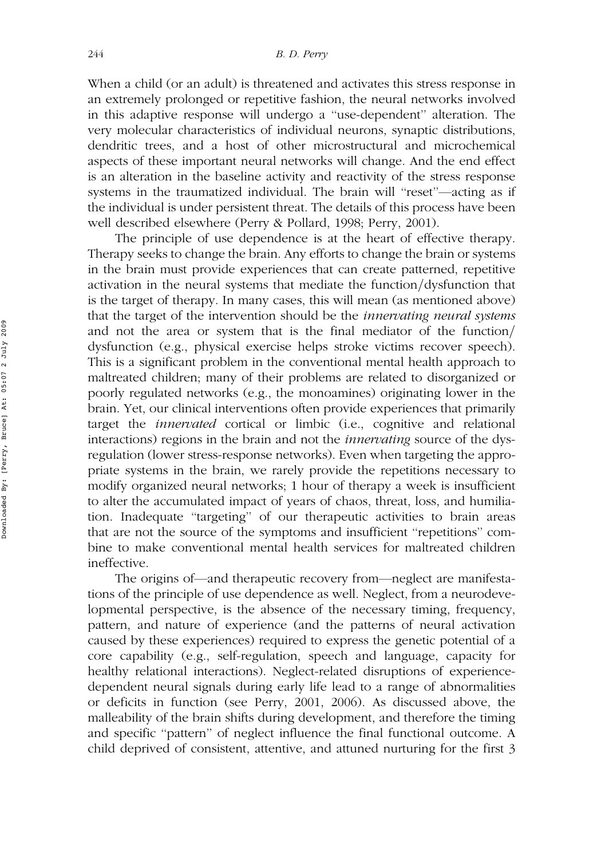When a child (or an adult) is threatened and activates this stress response in an extremely prolonged or repetitive fashion, the neural networks involved in this adaptive response will undergo a ''use-dependent'' alteration. The very molecular characteristics of individual neurons, synaptic distributions, dendritic trees, and a host of other microstructural and microchemical aspects of these important neural networks will change. And the end effect is an alteration in the baseline activity and reactivity of the stress response systems in the traumatized individual. The brain will ''reset''—acting as if the individual is under persistent threat. The details of this process have been well described elsewhere (Perry & Pollard, 1998; Perry, 2001).

The principle of use dependence is at the heart of effective therapy. Therapy seeks to change the brain. Any efforts to change the brain or systems in the brain must provide experiences that can create patterned, repetitive activation in the neural systems that mediate the function/dysfunction that is the target of therapy. In many cases, this will mean (as mentioned above) that the target of the intervention should be the *innervating neural systems* and not the area or system that is the final mediator of the function/ dysfunction (e.g., physical exercise helps stroke victims recover speech). This is a significant problem in the conventional mental health approach to maltreated children; many of their problems are related to disorganized or poorly regulated networks (e.g., the monoamines) originating lower in the brain. Yet, our clinical interventions often provide experiences that primarily target the innervated cortical or limbic (i.e., cognitive and relational interactions) regions in the brain and not the *innervating* source of the dysregulation (lower stress-response networks). Even when targeting the appropriate systems in the brain, we rarely provide the repetitions necessary to modify organized neural networks; 1 hour of therapy a week is insufficient to alter the accumulated impact of years of chaos, threat, loss, and humiliation. Inadequate ''targeting'' of our therapeutic activities to brain areas that are not the source of the symptoms and insufficient ''repetitions'' combine to make conventional mental health services for maltreated children ineffective.

The origins of—and therapeutic recovery from—neglect are manifestations of the principle of use dependence as well. Neglect, from a neurodevelopmental perspective, is the absence of the necessary timing, frequency, pattern, and nature of experience (and the patterns of neural activation caused by these experiences) required to express the genetic potential of a core capability (e.g., self-regulation, speech and language, capacity for healthy relational interactions). Neglect-related disruptions of experiencedependent neural signals during early life lead to a range of abnormalities or deficits in function (see Perry, 2001, 2006). As discussed above, the malleability of the brain shifts during development, and therefore the timing and specific ''pattern'' of neglect influence the final functional outcome. A child deprived of consistent, attentive, and attuned nurturing for the first 3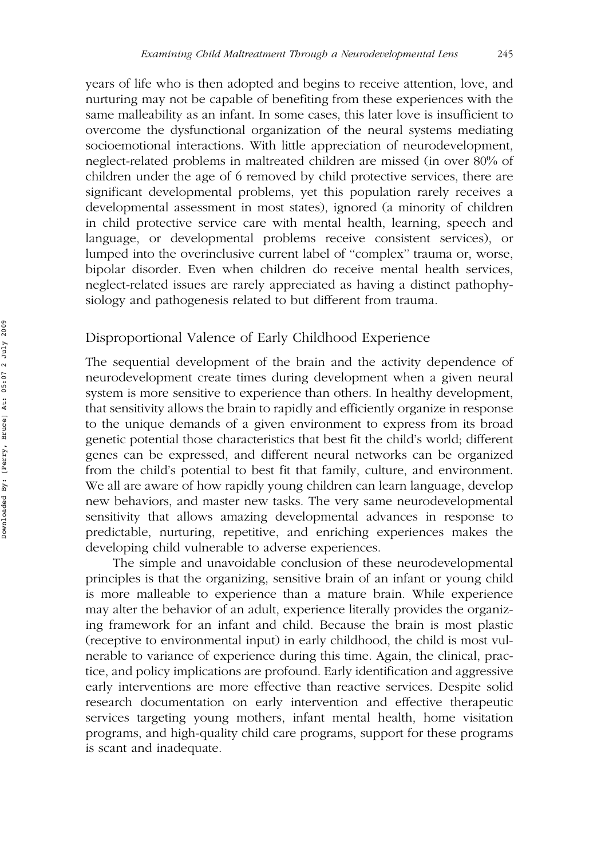years of life who is then adopted and begins to receive attention, love, and nurturing may not be capable of benefiting from these experiences with the same malleability as an infant. In some cases, this later love is insufficient to overcome the dysfunctional organization of the neural systems mediating socioemotional interactions. With little appreciation of neurodevelopment, neglect-related problems in maltreated children are missed (in over 80% of children under the age of 6 removed by child protective services, there are significant developmental problems, yet this population rarely receives a developmental assessment in most states), ignored (a minority of children in child protective service care with mental health, learning, speech and language, or developmental problems receive consistent services), or lumped into the overinclusive current label of ''complex'' trauma or, worse, bipolar disorder. Even when children do receive mental health services, neglect-related issues are rarely appreciated as having a distinct pathophysiology and pathogenesis related to but different from trauma.

# Disproportional Valence of Early Childhood Experience

The sequential development of the brain and the activity dependence of neurodevelopment create times during development when a given neural system is more sensitive to experience than others. In healthy development, that sensitivity allows the brain to rapidly and efficiently organize in response to the unique demands of a given environment to express from its broad genetic potential those characteristics that best fit the child's world; different genes can be expressed, and different neural networks can be organized from the child's potential to best fit that family, culture, and environment. We all are aware of how rapidly young children can learn language, develop new behaviors, and master new tasks. The very same neurodevelopmental sensitivity that allows amazing developmental advances in response to predictable, nurturing, repetitive, and enriching experiences makes the developing child vulnerable to adverse experiences.

The simple and unavoidable conclusion of these neurodevelopmental principles is that the organizing, sensitive brain of an infant or young child is more malleable to experience than a mature brain. While experience may alter the behavior of an adult, experience literally provides the organizing framework for an infant and child. Because the brain is most plastic (receptive to environmental input) in early childhood, the child is most vulnerable to variance of experience during this time. Again, the clinical, practice, and policy implications are profound. Early identification and aggressive early interventions are more effective than reactive services. Despite solid research documentation on early intervention and effective therapeutic services targeting young mothers, infant mental health, home visitation programs, and high-quality child care programs, support for these programs is scant and inadequate.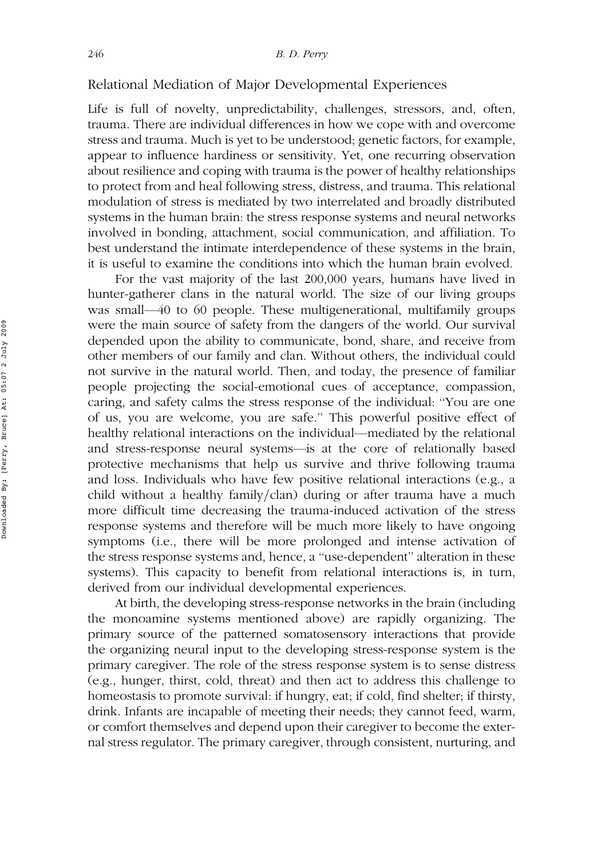# Relational Mediation of Major Developmental Experiences

Life is full of novelty, unpredictability, challenges, stressors, and, often, trauma. There are individual differences in how we cope with and overcome stress and trauma. Much is yet to be understood; genetic factors, for example, appear to influence hardiness or sensitivity. Yet, one recurring observation about resilience and coping with trauma is the power of healthy relationships to protect from and heal following stress, distress, and trauma. This relational modulation of stress is mediated by two interrelated and broadly distributed systems in the human brain: the stress response systems and neural networks involved in bonding, attachment, social communication, and affiliation. To best understand the intimate interdependence of these systems in the brain, it is useful to examine the conditions into which the human brain evolved.

For the vast majority of the last 200,000 years, humans have lived in hunter-gatherer clans in the natural world. The size of our living groups was small—40 to 60 people. These multigenerational, multifamily groups were the main source of safety from the dangers of the world. Our survival depended upon the ability to communicate, bond, share, and receive from other members of our family and clan. Without others, the individual could not survive in the natural world. Then, and today, the presence of familiar people projecting the social-emotional cues of acceptance, compassion, caring, and safety calms the stress response of the individual: ''You are one of us, you are welcome, you are safe.'' This powerful positive effect of healthy relational interactions on the individual—mediated by the relational and stress-response neural systems—is at the core of relationally based protective mechanisms that help us survive and thrive following trauma and loss. Individuals who have few positive relational interactions (e.g., a child without a healthy family/clan) during or after trauma have a much more difficult time decreasing the trauma-induced activation of the stress response systems and therefore will be much more likely to have ongoing symptoms (i.e., there will be more prolonged and intense activation of the stress response systems and, hence, a ''use-dependent'' alteration in these systems). This capacity to benefit from relational interactions is, in turn, derived from our individual developmental experiences.

At birth, the developing stress-response networks in the brain (including the monoamine systems mentioned above) are rapidly organizing. The primary source of the patterned somatosensory interactions that provide the organizing neural input to the developing stress-response system is the primary caregiver. The role of the stress response system is to sense distress (e.g., hunger, thirst, cold, threat) and then act to address this challenge to homeostasis to promote survival: if hungry, eat; if cold, find shelter; if thirsty, drink. Infants are incapable of meeting their needs; they cannot feed, warm, or comfort themselves and depend upon their caregiver to become the external stress regulator. The primary caregiver, through consistent, nurturing, and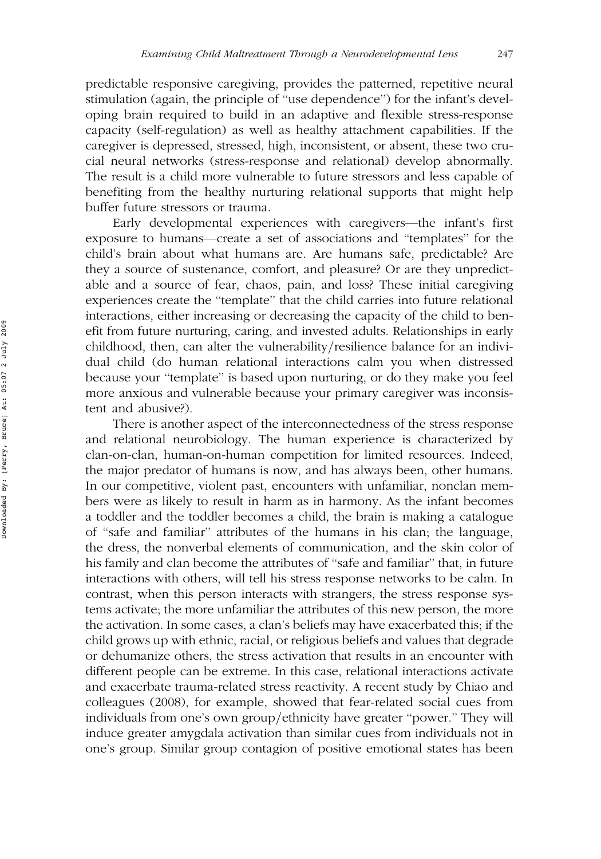predictable responsive caregiving, provides the patterned, repetitive neural stimulation (again, the principle of ''use dependence'') for the infant's developing brain required to build in an adaptive and flexible stress-response capacity (self-regulation) as well as healthy attachment capabilities. If the caregiver is depressed, stressed, high, inconsistent, or absent, these two crucial neural networks (stress-response and relational) develop abnormally. The result is a child more vulnerable to future stressors and less capable of benefiting from the healthy nurturing relational supports that might help buffer future stressors or trauma.

Early developmental experiences with caregivers—the infant's first exposure to humans—create a set of associations and ''templates'' for the child's brain about what humans are. Are humans safe, predictable? Are they a source of sustenance, comfort, and pleasure? Or are they unpredictable and a source of fear, chaos, pain, and loss? These initial caregiving experiences create the ''template'' that the child carries into future relational interactions, either increasing or decreasing the capacity of the child to benefit from future nurturing, caring, and invested adults. Relationships in early  $childhood, then, can alter the vulnerability/resilience balance for an indivi$ dual child (do human relational interactions calm you when distressed because your ''template'' is based upon nurturing, or do they make you feel more anxious and vulnerable because your primary caregiver was inconsistent and abusive?).

There is another aspect of the interconnectedness of the stress response and relational neurobiology. The human experience is characterized by clan-on-clan, human-on-human competition for limited resources. Indeed, the major predator of humans is now, and has always been, other humans. In our competitive, violent past, encounters with unfamiliar, nonclan members were as likely to result in harm as in harmony. As the infant becomes a toddler and the toddler becomes a child, the brain is making a catalogue of ''safe and familiar'' attributes of the humans in his clan; the language, the dress, the nonverbal elements of communication, and the skin color of his family and clan become the attributes of ''safe and familiar'' that, in future interactions with others, will tell his stress response networks to be calm. In contrast, when this person interacts with strangers, the stress response systems activate; the more unfamiliar the attributes of this new person, the more the activation. In some cases, a clan's beliefs may have exacerbated this; if the child grows up with ethnic, racial, or religious beliefs and values that degrade or dehumanize others, the stress activation that results in an encounter with different people can be extreme. In this case, relational interactions activate and exacerbate trauma-related stress reactivity. A recent study by Chiao and colleagues (2008), for example, showed that fear-related social cues from individuals from one's own group/ethnicity have greater "power." They will induce greater amygdala activation than similar cues from individuals not in one's group. Similar group contagion of positive emotional states has been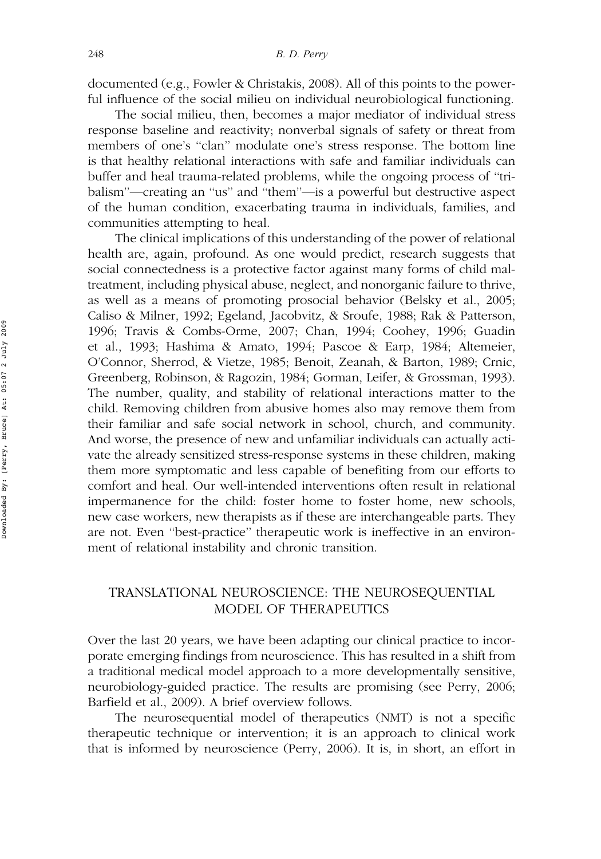documented (e.g., Fowler & Christakis, 2008). All of this points to the powerful influence of the social milieu on individual neurobiological functioning.

The social milieu, then, becomes a major mediator of individual stress response baseline and reactivity; nonverbal signals of safety or threat from members of one's "clan" modulate one's stress response. The bottom line is that healthy relational interactions with safe and familiar individuals can buffer and heal trauma-related problems, while the ongoing process of ''tribalism''—creating an ''us'' and ''them''—is a powerful but destructive aspect of the human condition, exacerbating trauma in individuals, families, and communities attempting to heal.

The clinical implications of this understanding of the power of relational health are, again, profound. As one would predict, research suggests that social connectedness is a protective factor against many forms of child maltreatment, including physical abuse, neglect, and nonorganic failure to thrive, as well as a means of promoting prosocial behavior (Belsky et al., 2005; Caliso & Milner, 1992; Egeland, Jacobvitz, & Sroufe, 1988; Rak & Patterson, 1996; Travis & Combs-Orme, 2007; Chan, 1994; Coohey, 1996; Guadin et al., 1993; Hashima & Amato, 1994; Pascoe & Earp, 1984; Altemeier, O'Connor, Sherrod, & Vietze, 1985; Benoit, Zeanah, & Barton, 1989; Crnic, Greenberg, Robinson, & Ragozin, 1984; Gorman, Leifer, & Grossman, 1993). The number, quality, and stability of relational interactions matter to the child. Removing children from abusive homes also may remove them from their familiar and safe social network in school, church, and community. And worse, the presence of new and unfamiliar individuals can actually activate the already sensitized stress-response systems in these children, making them more symptomatic and less capable of benefiting from our efforts to comfort and heal. Our well-intended interventions often result in relational impermanence for the child: foster home to foster home, new schools, new case workers, new therapists as if these are interchangeable parts. They are not. Even ''best-practice'' therapeutic work is ineffective in an environment of relational instability and chronic transition.

# TRANSLATIONAL NEUROSCIENCE: THE NEUROSEQUENTIAL MODEL OF THERAPEUTICS

Over the last 20 years, we have been adapting our clinical practice to incorporate emerging findings from neuroscience. This has resulted in a shift from a traditional medical model approach to a more developmentally sensitive, neurobiology-guided practice. The results are promising (see Perry, 2006; Barfield et al., 2009). A brief overview follows.

The neurosequential model of therapeutics (NMT) is not a specific therapeutic technique or intervention; it is an approach to clinical work that is informed by neuroscience (Perry, 2006). It is, in short, an effort in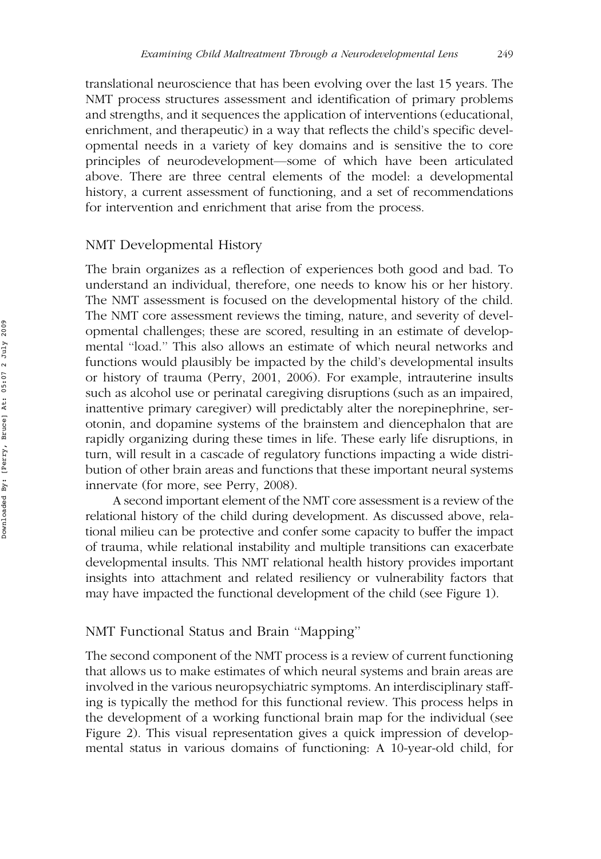translational neuroscience that has been evolving over the last 15 years. The NMT process structures assessment and identification of primary problems and strengths, and it sequences the application of interventions (educational, enrichment, and therapeutic) in a way that reflects the child's specific developmental needs in a variety of key domains and is sensitive the to core principles of neurodevelopment—some of which have been articulated above. There are three central elements of the model: a developmental history, a current assessment of functioning, and a set of recommendations for intervention and enrichment that arise from the process.

# NMT Developmental History

The brain organizes as a reflection of experiences both good and bad. To understand an individual, therefore, one needs to know his or her history. The NMT assessment is focused on the developmental history of the child. The NMT core assessment reviews the timing, nature, and severity of developmental challenges; these are scored, resulting in an estimate of developmental ''load.'' This also allows an estimate of which neural networks and functions would plausibly be impacted by the child's developmental insults or history of trauma (Perry, 2001, 2006). For example, intrauterine insults such as alcohol use or perinatal caregiving disruptions (such as an impaired, inattentive primary caregiver) will predictably alter the norepinephrine, serotonin, and dopamine systems of the brainstem and diencephalon that are rapidly organizing during these times in life. These early life disruptions, in turn, will result in a cascade of regulatory functions impacting a wide distribution of other brain areas and functions that these important neural systems innervate (for more, see Perry, 2008).

A second important element of the NMT core assessment is a review of the relational history of the child during development. As discussed above, relational milieu can be protective and confer some capacity to buffer the impact of trauma, while relational instability and multiple transitions can exacerbate developmental insults. This NMT relational health history provides important insights into attachment and related resiliency or vulnerability factors that may have impacted the functional development of the child (see Figure 1).

# NMT Functional Status and Brain ''Mapping''

The second component of the NMT process is a review of current functioning that allows us to make estimates of which neural systems and brain areas are involved in the various neuropsychiatric symptoms. An interdisciplinary staffing is typically the method for this functional review. This process helps in the development of a working functional brain map for the individual (see Figure 2). This visual representation gives a quick impression of developmental status in various domains of functioning: A 10-year-old child, for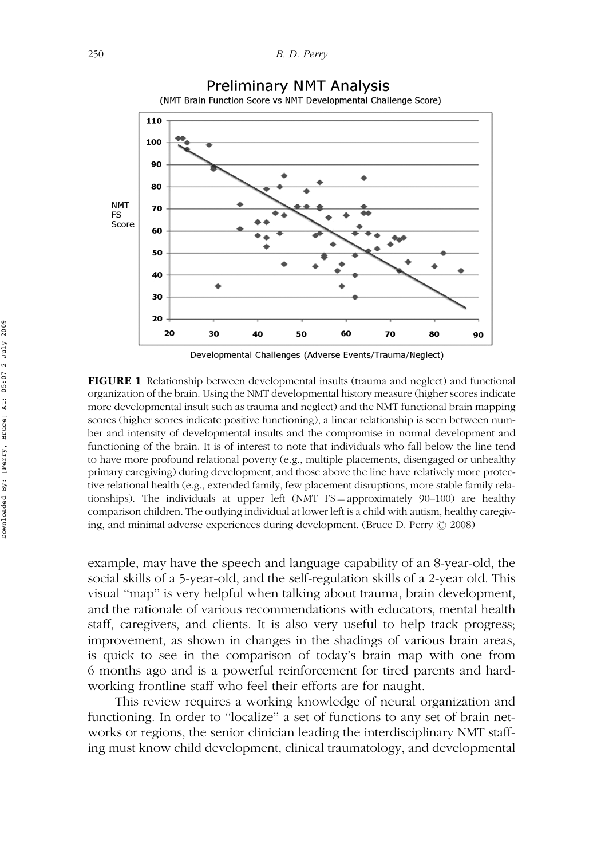

FIGURE 1 Relationship between developmental insults (trauma and neglect) and functional

organization of the brain. Using the NMT developmental history measure (higher scores indicate more developmental insult such as trauma and neglect) and the NMT functional brain mapping scores (higher scores indicate positive functioning), a linear relationship is seen between number and intensity of developmental insults and the compromise in normal development and functioning of the brain. It is of interest to note that individuals who fall below the line tend to have more profound relational poverty (e.g., multiple placements, disengaged or unhealthy primary caregiving) during development, and those above the line have relatively more protective relational health (e.g., extended family, few placement disruptions, more stable family relationships). The individuals at upper left  $(NMT FS = approximately 90-100)$  are healthy comparison children. The outlying individual at lower left is a child with autism, healthy caregiving, and minimal adverse experiences during development. (Bruce D. Perry  $@$  2008)

example, may have the speech and language capability of an 8-year-old, the social skills of a 5-year-old, and the self-regulation skills of a 2-year old. This visual ''map'' is very helpful when talking about trauma, brain development, and the rationale of various recommendations with educators, mental health staff, caregivers, and clients. It is also very useful to help track progress; improvement, as shown in changes in the shadings of various brain areas, is quick to see in the comparison of today's brain map with one from 6 months ago and is a powerful reinforcement for tired parents and hardworking frontline staff who feel their efforts are for naught.

This review requires a working knowledge of neural organization and functioning. In order to ''localize'' a set of functions to any set of brain networks or regions, the senior clinician leading the interdisciplinary NMT staffing must know child development, clinical traumatology, and developmental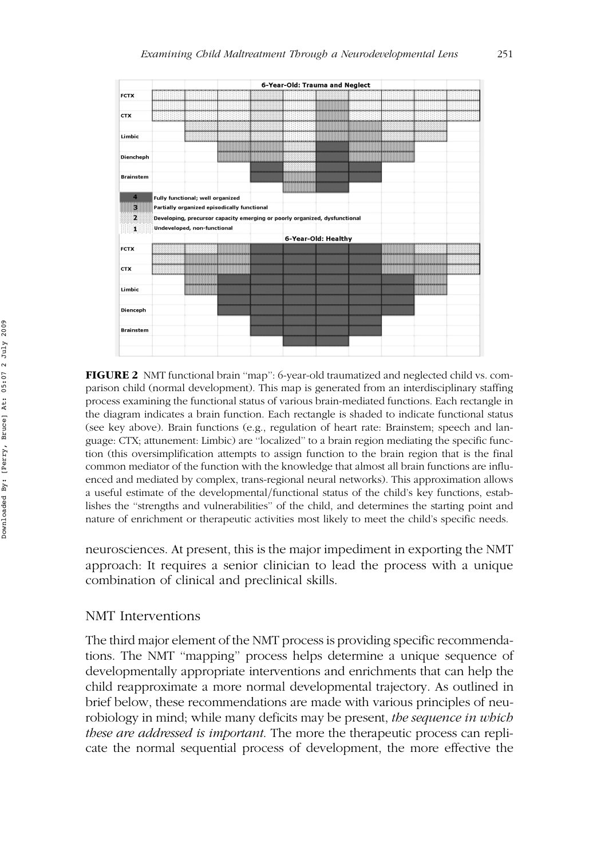

FIGURE 2 NMT functional brain ''map'': 6-year-old traumatized and neglected child vs. comparison child (normal development). This map is generated from an interdisciplinary staffing process examining the functional status of various brain-mediated functions. Each rectangle in the diagram indicates a brain function. Each rectangle is shaded to indicate functional status (see key above). Brain functions (e.g., regulation of heart rate: Brainstem; speech and language: CTX; attunement: Limbic) are ''localized'' to a brain region mediating the specific function (this oversimplification attempts to assign function to the brain region that is the final common mediator of the function with the knowledge that almost all brain functions are influenced and mediated by complex, trans-regional neural networks). This approximation allows a useful estimate of the developmental/functional status of the child's key functions, establishes the ''strengths and vulnerabilities'' of the child, and determines the starting point and nature of enrichment or therapeutic activities most likely to meet the child's specific needs.

neurosciences. At present, this is the major impediment in exporting the NMT approach: It requires a senior clinician to lead the process with a unique combination of clinical and preclinical skills.

#### NMT Interventions

The third major element of the NMT process is providing specific recommendations. The NMT ''mapping'' process helps determine a unique sequence of developmentally appropriate interventions and enrichments that can help the child reapproximate a more normal developmental trajectory. As outlined in brief below, these recommendations are made with various principles of neurobiology in mind; while many deficits may be present, the sequence in which these are addressed is important. The more the therapeutic process can replicate the normal sequential process of development, the more effective the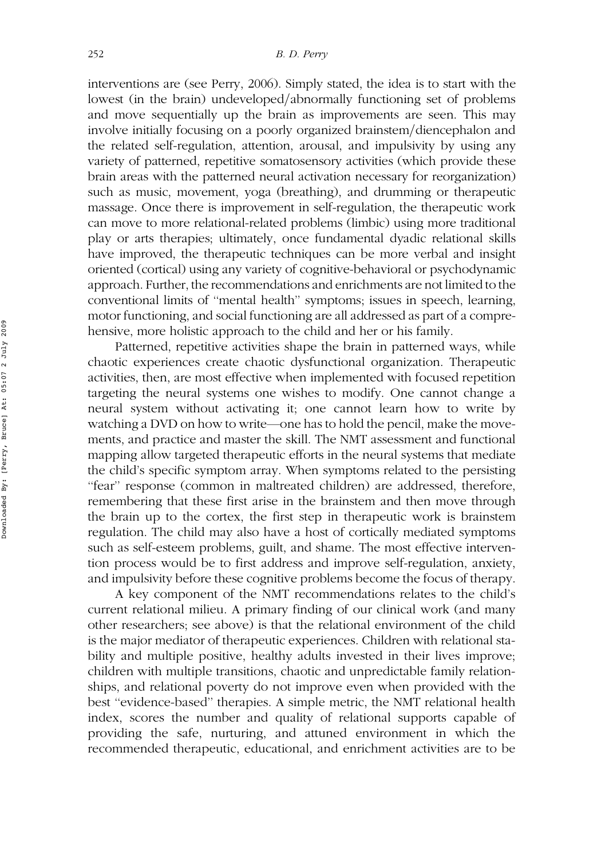interventions are (see Perry, 2006). Simply stated, the idea is to start with the lowest (in the brain) undeveloped/abnormally functioning set of problems and move sequentially up the brain as improvements are seen. This may involve initially focusing on a poorly organized brainstem/diencephalon and the related self-regulation, attention, arousal, and impulsivity by using any variety of patterned, repetitive somatosensory activities (which provide these brain areas with the patterned neural activation necessary for reorganization) such as music, movement, yoga (breathing), and drumming or therapeutic massage. Once there is improvement in self-regulation, the therapeutic work can move to more relational-related problems (limbic) using more traditional play or arts therapies; ultimately, once fundamental dyadic relational skills have improved, the therapeutic techniques can be more verbal and insight oriented (cortical) using any variety of cognitive-behavioral or psychodynamic approach. Further, the recommendations and enrichments are not limited to the conventional limits of ''mental health'' symptoms; issues in speech, learning, motor functioning, and social functioning are all addressed as part of a comprehensive, more holistic approach to the child and her or his family.

Patterned, repetitive activities shape the brain in patterned ways, while chaotic experiences create chaotic dysfunctional organization. Therapeutic activities, then, are most effective when implemented with focused repetition targeting the neural systems one wishes to modify. One cannot change a neural system without activating it; one cannot learn how to write by watching a DVD on how to write—one has to hold the pencil, make the movements, and practice and master the skill. The NMT assessment and functional mapping allow targeted therapeutic efforts in the neural systems that mediate the child's specific symptom array. When symptoms related to the persisting ''fear'' response (common in maltreated children) are addressed, therefore, remembering that these first arise in the brainstem and then move through the brain up to the cortex, the first step in therapeutic work is brainstem regulation. The child may also have a host of cortically mediated symptoms such as self-esteem problems, guilt, and shame. The most effective intervention process would be to first address and improve self-regulation, anxiety, and impulsivity before these cognitive problems become the focus of therapy.

A key component of the NMT recommendations relates to the child's current relational milieu. A primary finding of our clinical work (and many other researchers; see above) is that the relational environment of the child is the major mediator of therapeutic experiences. Children with relational stability and multiple positive, healthy adults invested in their lives improve; children with multiple transitions, chaotic and unpredictable family relationships, and relational poverty do not improve even when provided with the best ''evidence-based'' therapies. A simple metric, the NMT relational health index, scores the number and quality of relational supports capable of providing the safe, nurturing, and attuned environment in which the recommended therapeutic, educational, and enrichment activities are to be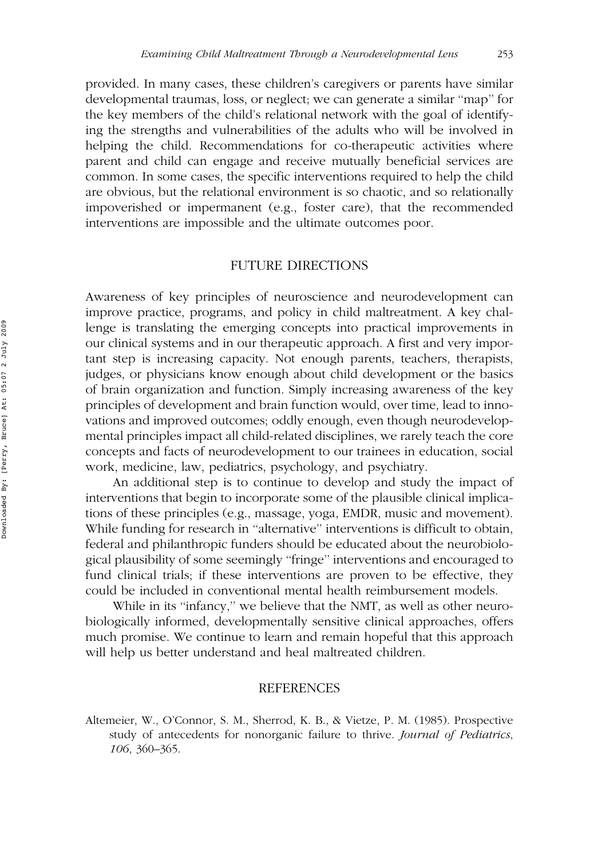provided. In many cases, these children's caregivers or parents have similar developmental traumas, loss, or neglect; we can generate a similar ''map'' for the key members of the child's relational network with the goal of identifying the strengths and vulnerabilities of the adults who will be involved in helping the child. Recommendations for co-therapeutic activities where parent and child can engage and receive mutually beneficial services are common. In some cases, the specific interventions required to help the child are obvious, but the relational environment is so chaotic, and so relationally impoverished or impermanent (e.g., foster care), that the recommended interventions are impossible and the ultimate outcomes poor.

## FUTURE DIRECTIONS

Awareness of key principles of neuroscience and neurodevelopment can improve practice, programs, and policy in child maltreatment. A key challenge is translating the emerging concepts into practical improvements in our clinical systems and in our therapeutic approach. A first and very important step is increasing capacity. Not enough parents, teachers, therapists, judges, or physicians know enough about child development or the basics of brain organization and function. Simply increasing awareness of the key principles of development and brain function would, over time, lead to innovations and improved outcomes; oddly enough, even though neurodevelopmental principles impact all child-related disciplines, we rarely teach the core concepts and facts of neurodevelopment to our trainees in education, social work, medicine, law, pediatrics, psychology, and psychiatry.

An additional step is to continue to develop and study the impact of interventions that begin to incorporate some of the plausible clinical implications of these principles (e.g., massage, yoga, EMDR, music and movement). While funding for research in ''alternative'' interventions is difficult to obtain, federal and philanthropic funders should be educated about the neurobiological plausibility of some seemingly ''fringe'' interventions and encouraged to fund clinical trials; if these interventions are proven to be effective, they could be included in conventional mental health reimbursement models.

While in its "infancy," we believe that the NMT, as well as other neurobiologically informed, developmentally sensitive clinical approaches, offers much promise. We continue to learn and remain hopeful that this approach will help us better understand and heal maltreated children.

## REFERENCES

Altemeier, W., O'Connor, S. M., Sherrod, K. B., & Vietze, P. M. (1985). Prospective study of antecedents for nonorganic failure to thrive. Journal of Pediatrics, 106, 360–365.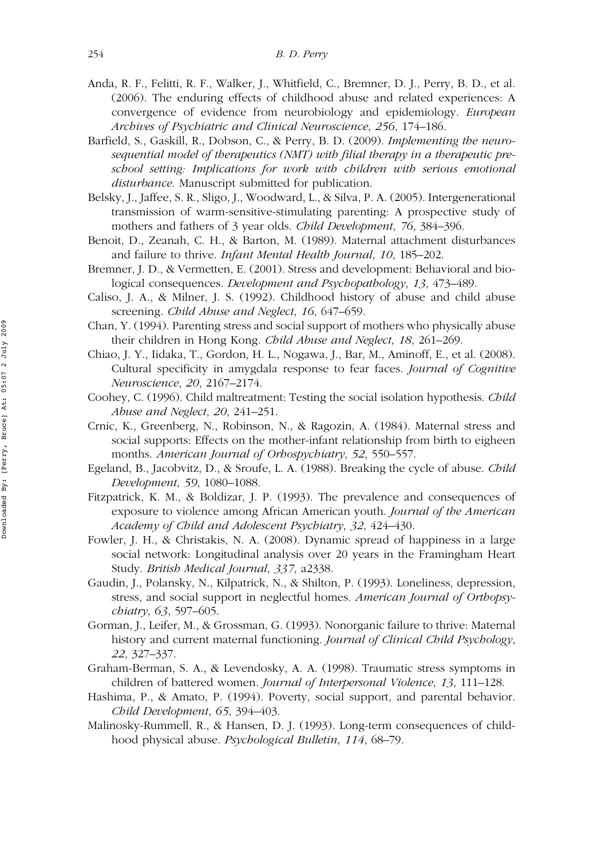- Anda, R. F., Felitti, R. F., Walker, J., Whitfield, C., Bremner, D. J., Perry, B. D., et al. (2006). The enduring effects of childhood abuse and related experiences: A convergence of evidence from neurobiology and epidemiology. European Archives of Psychiatric and Clinical Neuroscience, 256, 174–186.
- Barfield, S., Gaskill, R., Dobson, C., & Perry, B. D. (2009). Implementing the neurosequential model of therapeutics (NMT) with filial therapy in a therapeutic preschool setting: Implications for work with children with serious emotional disturbance. Manuscript submitted for publication.
- Belsky, J., Jaffee, S. R., Sligo, J., Woodward, L., & Silva, P. A. (2005). Intergenerational transmission of warm-sensitive-stimulating parenting: A prospective study of mothers and fathers of 3 year olds. Child Development, 76, 384–396.
- Benoit, D., Zeanah, C. H., & Barton, M. (1989). Maternal attachment disturbances and failure to thrive. Infant Mental Health Journal, 10, 185–202.
- Bremner, J. D., & Vermetten, E. (2001). Stress and development: Behavioral and biological consequences. Development and Psychopathology, 13, 473–489.
- Caliso, J. A., & Milner, J. S. (1992). Childhood history of abuse and child abuse screening. Child Abuse and Neglect, 16, 647–659.
- Chan, Y. (1994). Parenting stress and social support of mothers who physically abuse their children in Hong Kong. Child Abuse and Neglect, 18, 261–269.
- Chiao, J. Y., Iidaka, T., Gordon, H. L., Nogawa, J., Bar, M., Aminoff, E., et al. (2008). Cultural specificity in amygdala response to fear faces. Journal of Cognitive Neuroscience, 20, 2167–2174.
- Coohey, C. (1996). Child maltreatment: Testing the social isolation hypothesis. Child Abuse and Neglect, 20, 241–251.
- Crnic, K., Greenberg, N., Robinson, N., & Ragozin, A. (1984). Maternal stress and social supports: Effects on the mother-infant relationship from birth to eigheen months. American Journal of Orhospychiatry, 52, 550–557.
- Egeland, B., Jacobvitz, D., & Sroufe, L. A. (1988). Breaking the cycle of abuse. Child Development, 59, 1080–1088.
- Fitzpatrick, K. M., & Boldizar, J. P. (1993). The prevalence and consequences of exposure to violence among African American youth. *Journal of the American* Academy of Child and Adolescent Psychiatry, 32, 424–430.
- Fowler, J. H., & Christakis, N. A. (2008). Dynamic spread of happiness in a large social network: Longitudinal analysis over 20 years in the Framingham Heart Study. British Medical Journal, 337, a2338.
- Gaudin, J., Polansky, N., Kilpatrick, N., & Shilton, P. (1993). Loneliness, depression, stress, and social support in neglectful homes. American Journal of Orthopsychiatry, 63, 597–605.
- Gorman, J., Leifer, M., & Grossman, G. (1993). Nonorganic failure to thrive: Maternal history and current maternal functioning. Journal of Clinical Child Psychology, 22, 327–337.
- Graham-Berman, S. A., & Levendosky, A. A. (1998). Traumatic stress symptoms in children of battered women. Journal of Interpersonal Violence, 13, 111-128.
- Hashima, P., & Amato, P. (1994). Poverty, social support, and parental behavior. Child Development, 65, 394–403.
- Malinosky-Rummell, R., & Hansen, D. J. (1993). Long-term consequences of childhood physical abuse. Psychological Bulletin, 114, 68–79.